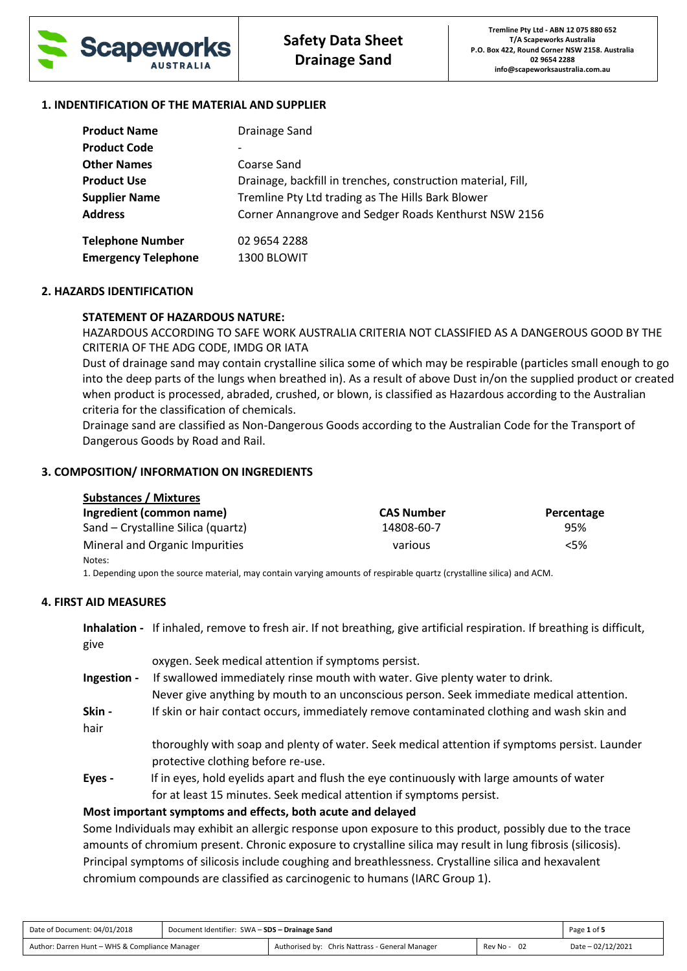

#### **1. INDENTIFICATION OF THE MATERIAL AND SUPPLIER**

| <b>Product Name</b>        | Drainage Sand                                                |
|----------------------------|--------------------------------------------------------------|
| <b>Product Code</b>        |                                                              |
| <b>Other Names</b>         | Coarse Sand                                                  |
| <b>Product Use</b>         | Drainage, backfill in trenches, construction material, Fill, |
| <b>Supplier Name</b>       | Tremline Pty Ltd trading as The Hills Bark Blower            |
| <b>Address</b>             | Corner Annangrove and Sedger Roads Kenthurst NSW 2156        |
| <b>Telephone Number</b>    | 02 9654 2288                                                 |
| <b>Emergency Telephone</b> | 1300 BLOWIT                                                  |

#### **2. HAZARDS IDENTIFICATION**

### **STATEMENT OF HAZARDOUS NATURE:**

HAZARDOUS ACCORDING TO SAFE WORK AUSTRALIA CRITERIA NOT CLASSIFIED AS A DANGEROUS GOOD BY THE CRITERIA OF THE ADG CODE, IMDG OR IATA

Dust of drainage sand may contain crystalline silica some of which may be respirable (particles small enough to go into the deep parts of the lungs when breathed in). As a result of above Dust in/on the supplied product or created when product is processed, abraded, crushed, or blown, is classified as Hazardous according to the Australian criteria for the classification of chemicals.

Drainage sand are classified as Non-Dangerous Goods according to the Australian Code for the Transport of Dangerous Goods by Road and Rail.

#### **3. COMPOSITION/ INFORMATION ON INGREDIENTS**

| <b>Substances / Mixtures</b>       |                   |            |  |  |
|------------------------------------|-------------------|------------|--|--|
| Ingredient (common name)           | <b>CAS Number</b> | Percentage |  |  |
| Sand – Crystalline Silica (quartz) | 14808-60-7        | 95%        |  |  |
| Mineral and Organic Impurities     | various           | < 5%       |  |  |
| Notes:                             |                   |            |  |  |

1. Depending upon the source material, may contain varying amounts of respirable quartz (crystalline silica) and ACM.

#### **4. FIRST AID MEASURES**

**Inhalation -** If inhaled, remove to fresh air. If not breathing, give artificial respiration. If breathing is difficult, give

|             | oxygen. Seek medical attention if symptoms persist.                                           |
|-------------|-----------------------------------------------------------------------------------------------|
| Ingestion - | If swallowed immediately rinse mouth with water. Give plenty water to drink.                  |
|             | Never give anything by mouth to an unconscious person. Seek immediate medical attention.      |
| Skin -      | If skin or hair contact occurs, immediately remove contaminated clothing and wash skin and    |
| hair        |                                                                                               |
|             | thoroughly with soap and plenty of water. Seek medical attention if symptoms persist. Launder |
|             | protective clothing before re-use.                                                            |
| Eyes -      | If in eyes, hold eyelids apart and flush the eye continuously with large amounts of water     |
|             | for at least 15 minutes. Seek medical attention if symptoms persist.                          |
|             | Most important symptoms and effects, both acute and delayed                                   |

Some Individuals may exhibit an allergic response upon exposure to this product, possibly due to the trace amounts of chromium present. Chronic exposure to crystalline silica may result in lung fibrosis (silicosis). Principal symptoms of silicosis include coughing and breathlessness. Crystalline silica and hexavalent chromium compounds are classified as carcinogenic to humans (IARC Group 1).

| Date of Document: 04/01/2018                   | Document Identifier: SWA - SDS - Drainage Sand |                                                 |             | Page 1 of 5       |
|------------------------------------------------|------------------------------------------------|-------------------------------------------------|-------------|-------------------|
| Author: Darren Hunt - WHS & Compliance Manager |                                                | Authorised by: Chris Nattrass - General Manager | Rev No - 02 | Date - 02/12/2021 |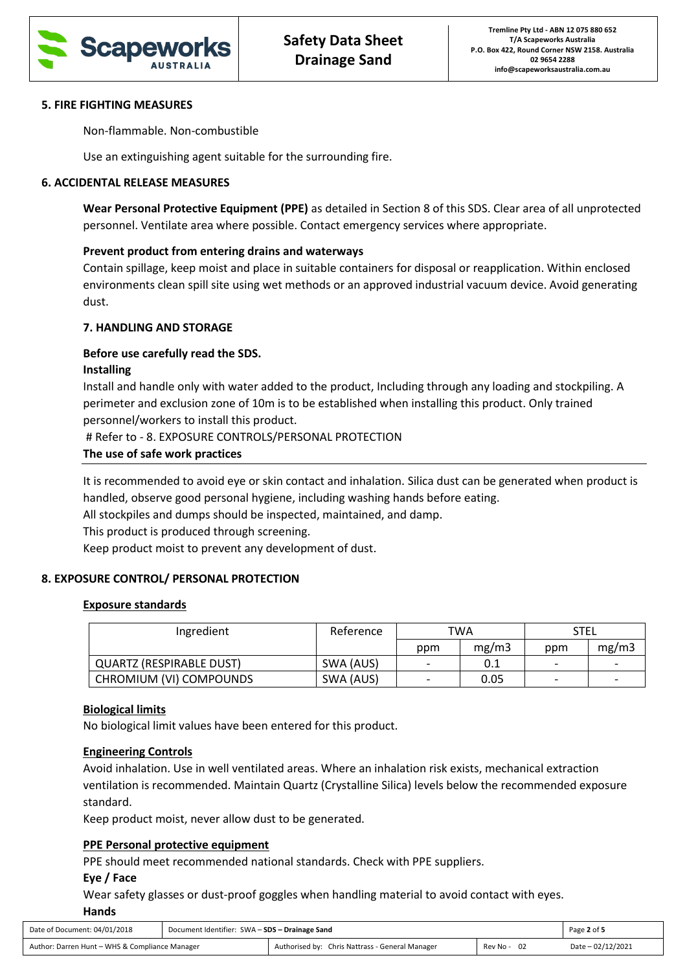

#### **5. FIRE FIGHTING MEASURES**

Non-flammable. Non-combustible

Use an extinguishing agent suitable for the surrounding fire.

# **6. ACCIDENTAL RELEASE MEASURES**

**Wear Personal Protective Equipment (PPE)** as detailed in Section 8 of this SDS. Clear area of all unprotected personnel. Ventilate area where possible. Contact emergency services where appropriate.

# **Prevent product from entering drains and waterways**

Contain spillage, keep moist and place in suitable containers for disposal or reapplication. Within enclosed environments clean spill site using wet methods or an approved industrial vacuum device. Avoid generating dust.

### **7. HANDLING AND STORAGE**

### **Before use carefully read the SDS.**

### **Installing**

Install and handle only with water added to the product, Including through any loading and stockpiling. A perimeter and exclusion zone of 10m is to be established when installing this product. Only trained personnel/workers to install this product.

# Refer to - 8. EXPOSURE CONTROLS/PERSONAL PROTECTION

#### **The use of safe work practices**

It is recommended to avoid eye or skin contact and inhalation. Silica dust can be generated when product is handled, observe good personal hygiene, including washing hands before eating.

All stockpiles and dumps should be inspected, maintained, and damp.

This product is produced through screening.

Keep product moist to prevent any development of dust.

### **8. EXPOSURE CONTROL/ PERSONAL PROTECTION**

### **Exposure standards**

| Ingredient                      | Reference | TWA                      |       | STEL |       |
|---------------------------------|-----------|--------------------------|-------|------|-------|
|                                 |           | ppm                      | mg/m3 | ppm  | mg/m3 |
| <b>QUARTZ (RESPIRABLE DUST)</b> | SWA (AUS) |                          | 0.1   |      |       |
| CHROMIUM (VI) COMPOUNDS         | SWA (AUS) | $\overline{\phantom{a}}$ | 0.05  | -    |       |

#### **Biological limits**

No biological limit values have been entered for this product.

### **Engineering Controls**

Avoid inhalation. Use in well ventilated areas. Where an inhalation risk exists, mechanical extraction ventilation is recommended. Maintain Quartz (Crystalline Silica) levels below the recommended exposure standard.

Keep product moist, never allow dust to be generated.

### **PPE Personal protective equipment**

PPE should meet recommended national standards. Check with PPE suppliers.

### **Eye / Face**

Wear safety glasses or dust-proof goggles when handling material to avoid contact with eyes. **Hands** 

| Date of Document: 04/01/2018                   | Document Identifier: SWA - SDS - Drainage Sand |                                                 |                  | Page 2 of 5       |
|------------------------------------------------|------------------------------------------------|-------------------------------------------------|------------------|-------------------|
| Author: Darren Hunt - WHS & Compliance Manager |                                                | Authorised by: Chris Nattrass - General Manager | - 02<br>Rev No - | Date - 02/12/2021 |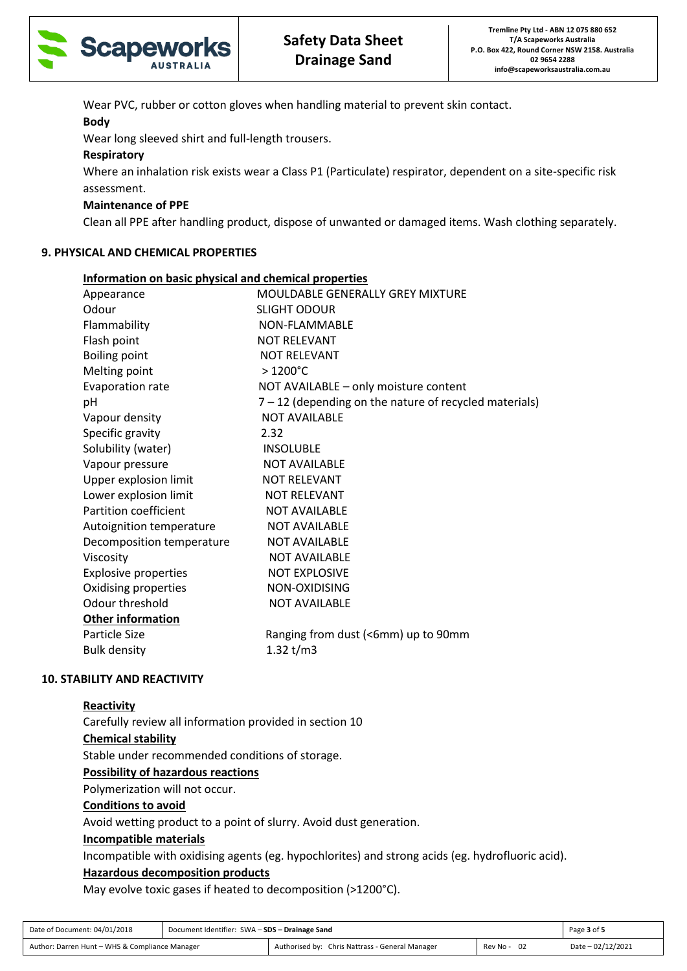

Wear PVC, rubber or cotton gloves when handling material to prevent skin contact.

# **Body**

Wear long sleeved shirt and full-length trousers.

### **Respiratory**

Where an inhalation risk exists wear a Class P1 (Particulate) respirator, dependent on a site-specific risk assessment.

# **Maintenance of PPE**

Clean all PPE after handling product, dispose of unwanted or damaged items. Wash clothing separately.

### **9. PHYSICAL AND CHEMICAL PROPERTIES**

| Information on basic physical and chemical properties |                                                          |
|-------------------------------------------------------|----------------------------------------------------------|
| Appearance                                            | <b>MOULDABLE GENERALLY GREY MIXTURE</b>                  |
| Odour                                                 | <b>SLIGHT ODOUR</b>                                      |
| Flammability                                          | NON-FLAMMABLE                                            |
| Flash point                                           | <b>NOT RELEVANT</b>                                      |
| <b>Boiling point</b>                                  | <b>NOT RELEVANT</b>                                      |
| Melting point                                         | $>1200^{\circ}$ C                                        |
| Evaporation rate                                      | NOT AVAILABLE - only moisture content                    |
| pH                                                    | $7 - 12$ (depending on the nature of recycled materials) |
| Vapour density                                        | <b>NOT AVAILABLE</b>                                     |
| Specific gravity                                      | 2.32                                                     |
| Solubility (water)                                    | <b>INSOLUBLE</b>                                         |
| Vapour pressure                                       | <b>NOT AVAILABLE</b>                                     |
| Upper explosion limit                                 | <b>NOT RELEVANT</b>                                      |
| Lower explosion limit                                 | <b>NOT RELEVANT</b>                                      |
| <b>Partition coefficient</b>                          | <b>NOT AVAILABLE</b>                                     |
| Autoignition temperature                              | <b>NOT AVAILABLE</b>                                     |
| Decomposition temperature                             | <b>NOT AVAILABLE</b>                                     |
| Viscosity                                             | <b>NOT AVAILABLE</b>                                     |
| <b>Explosive properties</b>                           | <b>NOT EXPLOSIVE</b>                                     |
| Oxidising properties                                  | NON-OXIDISING                                            |
| Odour threshold                                       | <b>NOT AVAILABLE</b>                                     |
| Other information                                     |                                                          |
| Particle Size                                         | Ranging from dust (<6mm) up to 90mm                      |
| <b>Bulk density</b>                                   | 1.32 $t/m3$                                              |
|                                                       |                                                          |

### **10. STABILITY AND REACTIVITY**

### **Reactivity**

Carefully review all information provided in section 10 **Chemical stability**

Stable under recommended conditions of storage.

### **Possibility of hazardous reactions**

Polymerization will not occur.

### **Conditions to avoid**

Avoid wetting product to a point of slurry. Avoid dust generation.

# **Incompatible materials**

Incompatible with oxidising agents (eg. hypochlorites) and strong acids (eg. hydrofluoric acid).

# **Hazardous decomposition products**

May evolve toxic gases if heated to decomposition (>1200°C).

| Date of Document: 04/01/2018                   | Document Identifier: SWA - SDS - Drainage Sand |                                                 |             | Page 3 of 5       |
|------------------------------------------------|------------------------------------------------|-------------------------------------------------|-------------|-------------------|
| Author: Darren Hunt - WHS & Compliance Manager |                                                | Authorised by: Chris Nattrass - General Manager | Rev No - 02 | Date - 02/12/2021 |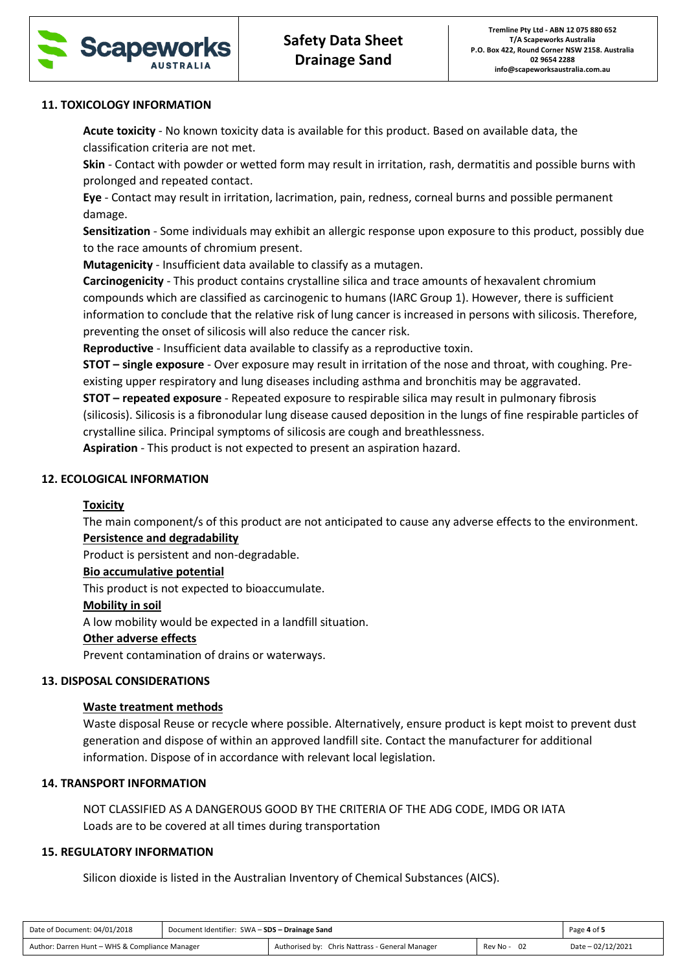

#### **11. TOXICOLOGY INFORMATION**

**Acute toxicity** - No known toxicity data is available for this product. Based on available data, the classification criteria are not met.

**Skin** - Contact with powder or wetted form may result in irritation, rash, dermatitis and possible burns with prolonged and repeated contact.

**Eye** - Contact may result in irritation, lacrimation, pain, redness, corneal burns and possible permanent damage.

**Sensitization** - Some individuals may exhibit an allergic response upon exposure to this product, possibly due to the race amounts of chromium present.

**Mutagenicity** - Insufficient data available to classify as a mutagen.

**Carcinogenicity** - This product contains crystalline silica and trace amounts of hexavalent chromium compounds which are classified as carcinogenic to humans (IARC Group 1). However, there is sufficient information to conclude that the relative risk of lung cancer is increased in persons with silicosis. Therefore, preventing the onset of silicosis will also reduce the cancer risk.

**Reproductive** - Insufficient data available to classify as a reproductive toxin.

**STOT – single exposure** - Over exposure may result in irritation of the nose and throat, with coughing. Preexisting upper respiratory and lung diseases including asthma and bronchitis may be aggravated.

**STOT – repeated exposure** - Repeated exposure to respirable silica may result in pulmonary fibrosis

(silicosis). Silicosis is a fibronodular lung disease caused deposition in the lungs of fine respirable particles of crystalline silica. Principal symptoms of silicosis are cough and breathlessness.

**Aspiration** - This product is not expected to present an aspiration hazard.

#### **12. ECOLOGICAL INFORMATION**

### **Toxicity**

The main component/s of this product are not anticipated to cause any adverse effects to the environment.

# **Persistence and degradability**

Product is persistent and non-degradable.

### **Bio accumulative potential**

This product is not expected to bioaccumulate.

#### **Mobility in soil**

A low mobility would be expected in a landfill situation.

### **Other adverse effects**

Prevent contamination of drains or waterways.

#### **13. DISPOSAL CONSIDERATIONS**

### **Waste treatment methods**

Waste disposal Reuse or recycle where possible. Alternatively, ensure product is kept moist to prevent dust generation and dispose of within an approved landfill site. Contact the manufacturer for additional information. Dispose of in accordance with relevant local legislation.

#### **14. TRANSPORT INFORMATION**

NOT CLASSIFIED AS A DANGEROUS GOOD BY THE CRITERIA OF THE ADG CODE, IMDG OR IATA Loads are to be covered at all times during transportation

## **15. REGULATORY INFORMATION**

Silicon dioxide is listed in the Australian Inventory of Chemical Substances (AICS).

| Date of Document: 04/01/2018                   | Document Identifier: SWA - SDS - Drainage Sand |                                                 |             | Page 4 of 5       |
|------------------------------------------------|------------------------------------------------|-------------------------------------------------|-------------|-------------------|
| Author: Darren Hunt - WHS & Compliance Manager |                                                | Authorised by: Chris Nattrass - General Manager | Rev No - 02 | Date - 02/12/2021 |